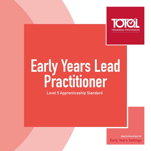

## **Early Years Lead Practitioner**

**Level 5 Apprenticeship Standard**

**Apprenticeships for Early Years Settings**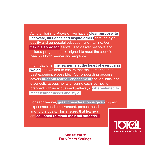At Total Training Provision we have a **clear purpose; to Innovate, Influence and Inspire others** through high quality and purposeful education and training. Our **flexible approach** allows us to deliver bespoke and tailored programmes, designed to meet the specific needs of both learner and employer.

From day one, **the learner is at the heart of everything we do** and we aim to ensure that the learner has the best experience possible. Our onboarding process covers **in-depth learner engagement** though initial and diagnostic assessments ensuring each journey is prepped with individualised pathways, **differentiated to meet learner needs and style.**

For each learner, **great consideration is given** to past experience and achievement, present needs and future goals. This ensures that learners are **equipped to reach their full potential.**

> **Apprenticeships for Early Years Settings**

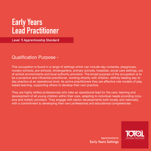## **Early Years Lead Practitioner**

**Level 5 Apprenticeship Standard** 

## Qualification Purpose -

This occupation is found in a range of settings which can include day nurseries, playgroups, nursery schools, pre-schools, kindergartens, primary schools, hospitals, social care settings, out of school environments and local authority provision. The broad purpose of the occupation is to be a proactive and influential practitioner, working directly with children, skilfully leading day to day practice at an operational level. As active practitioners they are effective role models of play based learning, supporting others to develop their own practice.

They are highly skilled professionals who take an operational lead for the care, learning and development of all young children within their care, adapting to individual needs providing inclusive and holistic provision. They engage with sector developments both locally and nationally, with a commitment to developing their own professional and educational competencies.



**Apprenticeship for Early Years Settings**